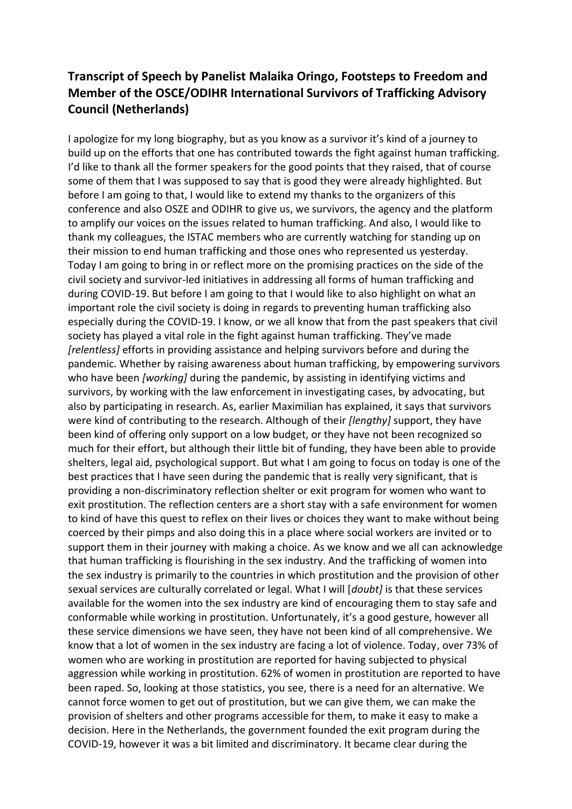## **Transcript of Speech by Panelist Malaika Oringo, Footsteps to Freedom and Member of the OSCE/ODIHR International Survivors of Trafficking Advisory Council (Netherlands)**

I apologize for my long biography, but as you know as a survivor it's kind of a journey to build up on the efforts that one has contributed towards the fight against human trafficking. I'd like to thank all the former speakers for the good points that they raised, that of course some of them that I was supposed to say that is good they were already highlighted. But before I am going to that, I would like to extend my thanks to the organizers of this conference and also OSZE and ODIHR to give us, we survivors, the agency and the platform to amplify our voices on the issues related to human trafficking. And also, I would like to thank my colleagues, the ISTAC members who are currently watching for standing up on their mission to end human trafficking and those ones who represented us yesterday. Today I am going to bring in or reflect more on the promising practices on the side of the civil society and survivor-led initiatives in addressing all forms of human trafficking and during COVID-19. But before I am going to that I would like to also highlight on what an important role the civil society is doing in regards to preventing human trafficking also especially during the COVID-19. I know, or we all know that from the past speakers that civil society has played a vital role in the fight against human trafficking. They've made *[relentless]* efforts in providing assistance and helping survivors before and during the pandemic. Whether by raising awareness about human trafficking, by empowering survivors who have been *[working]* during the pandemic, by assisting in identifying victims and survivors, by working with the law enforcement in investigating cases, by advocating, but also by participating in research. As, earlier Maximilian has explained, it says that survivors were kind of contributing to the research. Although of their *[lengthy]* support, they have been kind of offering only support on a low budget, or they have not been recognized so much for their effort, but although their little bit of funding, they have been able to provide shelters, legal aid, psychological support. But what I am going to focus on today is one of the best practices that I have seen during the pandemic that is really very significant, that is providing a non-discriminatory reflection shelter or exit program for women who want to exit prostitution. The reflection centers are a short stay with a safe environment for women to kind of have this quest to reflex on their lives or choices they want to make without being coerced by their pimps and also doing this in a place where social workers are invited or to support them in their journey with making a choice. As we know and we all can acknowledge that human trafficking is flourishing in the sex industry. And the trafficking of women into the sex industry is primarily to the countries in which prostitution and the provision of other sexual services are culturally correlated or legal. What I will [*doubt]* is that these services available for the women into the sex industry are kind of encouraging them to stay safe and conformable while working in prostitution. Unfortunately, it's a good gesture, however all these service dimensions we have seen, they have not been kind of all comprehensive. We know that a lot of women in the sex industry are facing a lot of violence. Today, over 73% of women who are working in prostitution are reported for having subjected to physical aggression while working in prostitution. 62% of women in prostitution are reported to have been raped. So, looking at those statistics, you see, there is a need for an alternative. We cannot force women to get out of prostitution, but we can give them, we can make the provision of shelters and other programs accessible for them, to make it easy to make a decision. Here in the Netherlands, the government founded the exit program during the COVID-19, however it was a bit limited and discriminatory. It became clear during the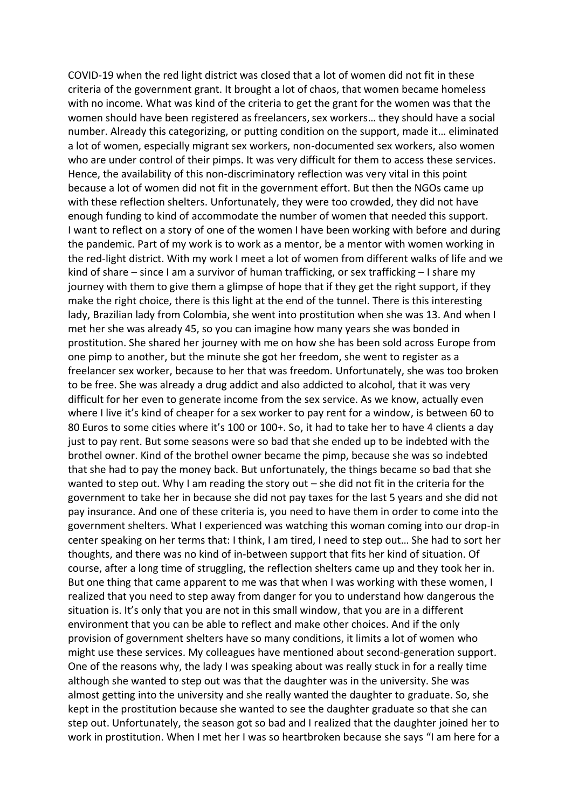COVID-19 when the red light district was closed that a lot of women did not fit in these criteria of the government grant. It brought a lot of chaos, that women became homeless with no income. What was kind of the criteria to get the grant for the women was that the women should have been registered as freelancers, sex workers… they should have a social number. Already this categorizing, or putting condition on the support, made it… eliminated a lot of women, especially migrant sex workers, non-documented sex workers, also women who are under control of their pimps. It was very difficult for them to access these services. Hence, the availability of this non-discriminatory reflection was very vital in this point because a lot of women did not fit in the government effort. But then the NGOs came up with these reflection shelters. Unfortunately, they were too crowded, they did not have enough funding to kind of accommodate the number of women that needed this support. I want to reflect on a story of one of the women I have been working with before and during the pandemic. Part of my work is to work as a mentor, be a mentor with women working in the red-light district. With my work I meet a lot of women from different walks of life and we kind of share – since I am a survivor of human trafficking, or sex trafficking – I share my journey with them to give them a glimpse of hope that if they get the right support, if they make the right choice, there is this light at the end of the tunnel. There is this interesting lady, Brazilian lady from Colombia, she went into prostitution when she was 13. And when I met her she was already 45, so you can imagine how many years she was bonded in prostitution. She shared her journey with me on how she has been sold across Europe from one pimp to another, but the minute she got her freedom, she went to register as a freelancer sex worker, because to her that was freedom. Unfortunately, she was too broken to be free. She was already a drug addict and also addicted to alcohol, that it was very difficult for her even to generate income from the sex service. As we know, actually even where I live it's kind of cheaper for a sex worker to pay rent for a window, is between 60 to 80 Euros to some cities where it's 100 or 100+. So, it had to take her to have 4 clients a day just to pay rent. But some seasons were so bad that she ended up to be indebted with the brothel owner. Kind of the brothel owner became the pimp, because she was so indebted that she had to pay the money back. But unfortunately, the things became so bad that she wanted to step out. Why I am reading the story out – she did not fit in the criteria for the government to take her in because she did not pay taxes for the last 5 years and she did not pay insurance. And one of these criteria is, you need to have them in order to come into the government shelters. What I experienced was watching this woman coming into our drop-in center speaking on her terms that: I think, I am tired, I need to step out… She had to sort her thoughts, and there was no kind of in-between support that fits her kind of situation. Of course, after a long time of struggling, the reflection shelters came up and they took her in. But one thing that came apparent to me was that when I was working with these women, I realized that you need to step away from danger for you to understand how dangerous the situation is. It's only that you are not in this small window, that you are in a different environment that you can be able to reflect and make other choices. And if the only provision of government shelters have so many conditions, it limits a lot of women who might use these services. My colleagues have mentioned about second-generation support. One of the reasons why, the lady I was speaking about was really stuck in for a really time although she wanted to step out was that the daughter was in the university. She was almost getting into the university and she really wanted the daughter to graduate. So, she kept in the prostitution because she wanted to see the daughter graduate so that she can step out. Unfortunately, the season got so bad and I realized that the daughter joined her to work in prostitution. When I met her I was so heartbroken because she says "I am here for a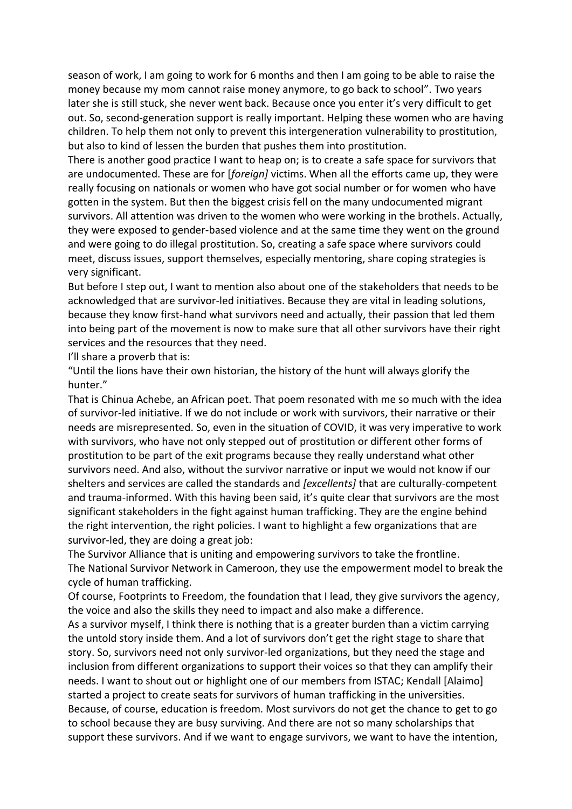season of work, I am going to work for 6 months and then I am going to be able to raise the money because my mom cannot raise money anymore, to go back to school". Two years later she is still stuck, she never went back. Because once you enter it's very difficult to get out. So, second-generation support is really important. Helping these women who are having children. To help them not only to prevent this intergeneration vulnerability to prostitution, but also to kind of lessen the burden that pushes them into prostitution.

There is another good practice I want to heap on; is to create a safe space for survivors that are undocumented. These are for [*foreign]* victims. When all the efforts came up, they were really focusing on nationals or women who have got social number or for women who have gotten in the system. But then the biggest crisis fell on the many undocumented migrant survivors. All attention was driven to the women who were working in the brothels. Actually, they were exposed to gender-based violence and at the same time they went on the ground and were going to do illegal prostitution. So, creating a safe space where survivors could meet, discuss issues, support themselves, especially mentoring, share coping strategies is very significant.

But before I step out, I want to mention also about one of the stakeholders that needs to be acknowledged that are survivor-led initiatives. Because they are vital in leading solutions, because they know first-hand what survivors need and actually, their passion that led them into being part of the movement is now to make sure that all other survivors have their right services and the resources that they need.

I'll share a proverb that is:

"Until the lions have their own historian, the history of the hunt will always glorify the hunter."

That is Chinua Achebe, an African poet. That poem resonated with me so much with the idea of survivor-led initiative. If we do not include or work with survivors, their narrative or their needs are misrepresented. So, even in the situation of COVID, it was very imperative to work with survivors, who have not only stepped out of prostitution or different other forms of prostitution to be part of the exit programs because they really understand what other survivors need. And also, without the survivor narrative or input we would not know if our shelters and services are called the standards and *[excellents]* that are culturally-competent and trauma-informed. With this having been said, it's quite clear that survivors are the most significant stakeholders in the fight against human trafficking. They are the engine behind the right intervention, the right policies. I want to highlight a few organizations that are survivor-led, they are doing a great job:

The Survivor Alliance that is uniting and empowering survivors to take the frontline. The National Survivor Network in Cameroon, they use the empowerment model to break the cycle of human trafficking.

Of course, Footprints to Freedom, the foundation that I lead, they give survivors the agency, the voice and also the skills they need to impact and also make a difference.

As a survivor myself, I think there is nothing that is a greater burden than a victim carrying the untold story inside them. And a lot of survivors don't get the right stage to share that story. So, survivors need not only survivor-led organizations, but they need the stage and inclusion from different organizations to support their voices so that they can amplify their needs. I want to shout out or highlight one of our members from ISTAC; Kendall [Alaimo] started a project to create seats for survivors of human trafficking in the universities. Because, of course, education is freedom. Most survivors do not get the chance to get to go to school because they are busy surviving. And there are not so many scholarships that support these survivors. And if we want to engage survivors, we want to have the intention,